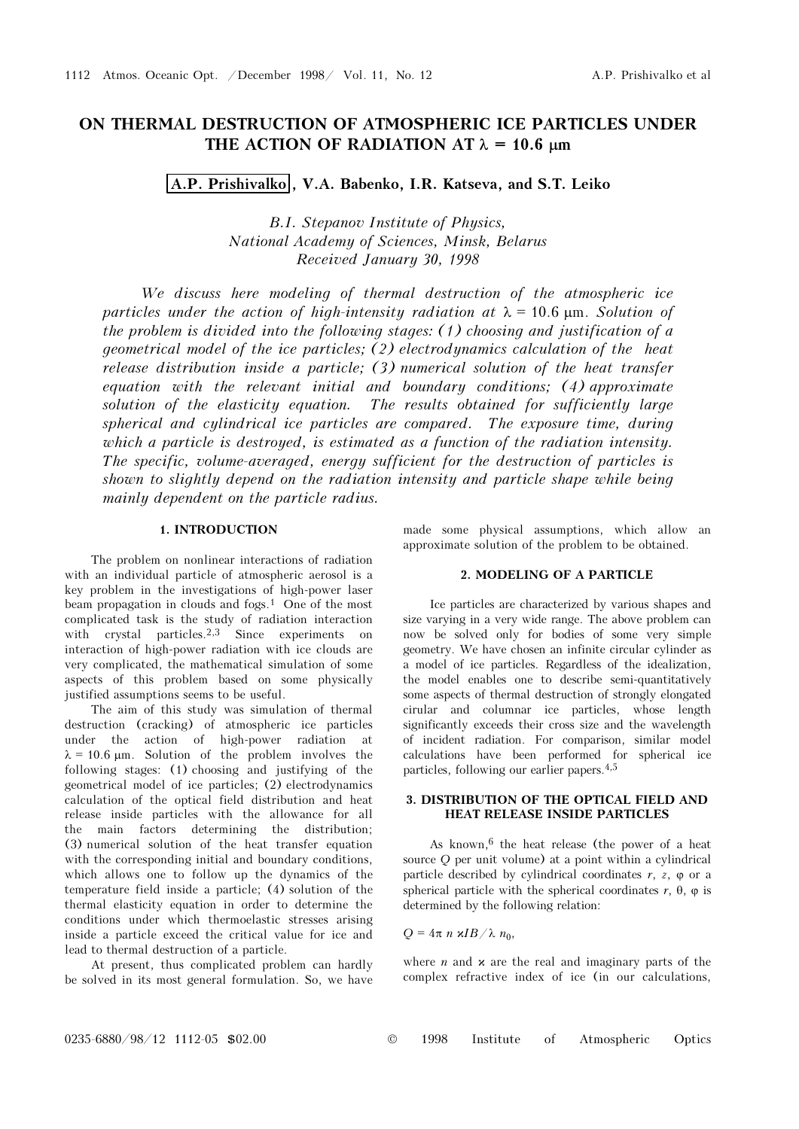# ON THERMAL DESTRUCTION OF ATMOSPHERIC ICE PARTICLES UNDER THE ACTION OF RADIATION AT  $\lambda = 10.6$  μm

A.P. Prishivalko, V.A. Babenko, I.R. Katseva, and S.T. Leiko

B.I. Stepanov Institute of Physics, National Academy of Sciences, Minsk, Belarus Received January 30, 1998

We discuss here modeling of thermal destruction of the atmospheric ice particles under the action of high-intensity radiation at  $\lambda = 10.6$  μm. Solution of the problem is divided into the following stages: (1) choosing and justification of a geometrical model of the ice particles; (2) electrodynamics calculation of the heat release distribution inside a particle; (3) numerical solution of the heat transfer equation with the relevant initial and boundary conditions; (4) approximate solution of the elasticity equation. The results obtained for sufficiently large spherical and cylindrical ice particles are compared. The exposure time, during which a particle is destroyed, is estimated as a function of the radiation intensity. The specific, volume-averaged, energy sufficient for the destruction of particles is shown to slightly depend on the radiation intensity and particle shape while being mainly dependent on the particle radius.

### 1. INTRODUCTION

The problem on nonlinear interactions of radiation with an individual particle of atmospheric aerosol is a key problem in the investigations of high-power laser beam propagation in clouds and fogs.1 One of the most complicated task is the study of radiation interaction with crystal particles.<sup>2,3</sup> Since experiments on interaction of high-power radiation with ice clouds are very complicated, the mathematical simulation of some aspects of this problem based on some physically justified assumptions seems to be useful.

The aim of this study was simulation of thermal destruction (cracking) of atmospheric ice particles under the action of high-power radiation at  $\lambda = 10.6 \mu m$ . Solution of the problem involves the following stages: (1) choosing and justifying of the geometrical model of ice particles; (2) electrodynamics calculation of the optical field distribution and heat release inside particles with the allowance for all the main factors determining the distribution; (3) numerical solution of the heat transfer equation with the corresponding initial and boundary conditions, which allows one to follow up the dynamics of the temperature field inside a particle; (4) solution of the thermal elasticity equation in order to determine the conditions under which thermoelastic stresses arising inside a particle exceed the critical value for ice and lead to thermal destruction of a particle.

At present, thus complicated problem can hardly be solved in its most general formulation. So, we have

made some physical assumptions, which allow an approximate solution of the problem to be obtained.

### 2. MODELING OF A PARTICLE

Ice particles are characterized by various shapes and size varying in a very wide range. The above problem can now be solved only for bodies of some very simple geometry. We have chosen an infinite circular cylinder as a model of ice particles. Regardless of the idealization, the model enables one to describe semi-quantitatively some aspects of thermal destruction of strongly elongated cirular and columnar ice particles, whose length significantly exceeds their cross size and the wavelength of incident radiation. For comparison, similar model calculations have been performed for spherical ice particles, following our earlier papers.4,5

## 3. DISTRIBUTION OF THE OPTICAL FIELD AND HEAT RELEASE INSIDE PARTICLES

As known,  $6$  the heat release (the power of a heat source Q per unit volume) at a point within a cylindrical particle described by cylindrical coordinates  $r$ ,  $z$ ,  $\varphi$  or a spherical particle with the spherical coordinates  $r$ ,  $\theta$ ,  $\varphi$  is determined by the following relation:

 $Q = 4\pi n \frac{\varkappa I B}{\lambda n_0}$ ,

where *n* and  $x$  are the real and imaginary parts of the complex refractive index of ice (in our calculations,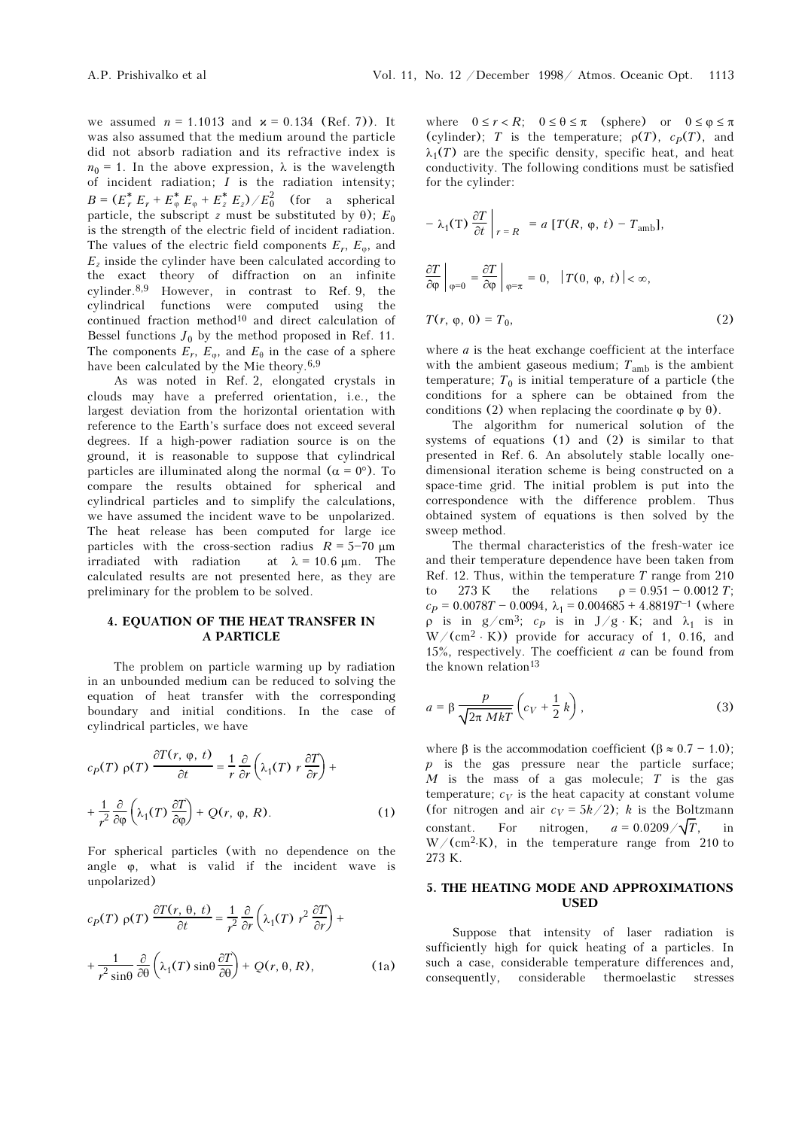we assumed  $n = 1.1013$  and  $x = 0.134$  (Ref. 7)). It was also assumed that the medium around the particle did not absorb radiation and its refractive index is  $n_0 = 1$ . In the above expression,  $\lambda$  is the wavelength of incident radiation;  $I$  is the radiation intensity;  $B = (E_r^* E_r + E_\phi^* E_\phi + E_z^* E_z) / E_0^2$  (for a spherical particle, the subscript z must be substituted by  $\theta$ );  $E_0$ is the strength of the electric field of incident radiation. The values of the electric field components  $E_r$ ,  $E_{\varphi}$ , and  $E_z$  inside the cylinder have been calculated according to the exact theory of diffraction on an infinite cylinder.8,9 However, in contrast to Ref. 9, the cylindrical functions were computed using the continued fraction method<sup>10</sup> and direct calculation of Bessel functions  $J_0$  by the method proposed in Ref. 11. The components  $E_r$ ,  $E_\varphi$ , and  $E_\theta$  in the case of a sphere have been calculated by the Mie theory.6,9

As was noted in Ref. 2, elongated crystals in clouds may have a preferred orientation, i.e., the largest deviation from the horizontal orientation with reference to the Earth's surface does not exceed several degrees. If a high-power radiation source is on the ground, it is reasonable to suppose that cylindrical particles are illuminated along the normal  $(\alpha = 0^{\circ})$ . To compare the results obtained for spherical and cylindrical particles and to simplify the calculations, we have assumed the incident wave to be unpolarized. The heat release has been computed for large ice particles with the cross-section radius  $R = 5-70 \text{ }\mu\text{m}$ irradiated with radiation at  $\lambda = 10.6 \text{ }\mu\text{m}$ . The calculated results are not presented here, as they are preliminary for the problem to be solved.

# 4. EQUATION OF THE HEAT TRANSFER IN A PARTICLE

The problem on particle warming up by radiation in an unbounded medium can be reduced to solving the equation of heat transfer with the corresponding boundary and initial conditions. In the case of cylindrical particles, we have

$$
c_p(T) \rho(T) \frac{\partial T(r, \varphi, t)}{\partial t} = \frac{1}{r} \frac{\partial}{\partial r} \left( \lambda_1(T) r \frac{\partial T}{\partial r} \right) +
$$
  
+ 
$$
\frac{1}{r^2} \frac{\partial}{\partial \varphi} \left( \lambda_1(T) \frac{\partial T}{\partial \varphi} \right) + Q(r, \varphi, R).
$$
 (1)

For spherical particles (with no dependence on the angle ϕ, what is valid if the incident wave is unpolarized)

$$
c_p(T) \rho(T) \frac{\partial T(r, \theta, t)}{\partial t} = \frac{1}{r^2} \frac{\partial}{\partial r} \left( \lambda_1(T) r^2 \frac{\partial T}{\partial r} \right) +
$$

$$
+ \frac{1}{r^2 \sin \theta} \frac{\partial}{\partial \theta} \left( \lambda_1(T) \sin \theta \frac{\partial T}{\partial \theta} \right) + Q(r, \theta, R), \qquad (1a)
$$

where  $0 \le r < R$ ;  $0 \le \theta \le \pi$  (sphere) or  $0 \le \varphi \le \pi$ (cylinder); T is the temperature;  $\rho(T)$ ,  $c_p(T)$ , and  $\lambda_1(T)$  are the specific density, specific heat, and heat conductivity. The following conditions must be satisfied for the cylinder:

$$
-\lambda_1(T) \frac{\partial T}{\partial t} \Big|_{r=R} = a [T(R, \varphi, t) - T_{amb}],
$$
  

$$
\frac{\partial T}{\partial \varphi} \Big|_{\varphi=0} = \frac{\partial T}{\partial \varphi} \Big|_{\varphi=\pi} = 0, |T(0, \varphi, t)| < \infty,
$$
  

$$
T(r, \varphi, 0) = T_0,
$$
 (2)

where *a* is the heat exchange coefficient at the interface with the ambient gaseous medium;  $T_{\rm amb}$  is the ambient temperature;  $T_0$  is initial temperature of a particle (the conditions for a sphere can be obtained from the conditions (2) when replacing the coordinate  $\varphi$  by  $\theta$ ).

The algorithm for numerical solution of the systems of equations (1) and (2) is similar to that presented in Ref. 6. An absolutely stable locally onedimensional iteration scheme is being constructed on a space-time grid. The initial problem is put into the correspondence with the difference problem. Thus obtained system of equations is then solved by the sweep method.

The thermal characteristics of the fresh-water ice and their temperature dependence have been taken from Ref. 12. Thus, within the temperature  $T$  range from 210 to 273 K the relations  $\rho = 0.951 - 0.0012 T$ ;  $c_P = 0.0078T - 0.0094$ ,  $\lambda_1 = 0.004685 + 4.8819T^{-1}$  (where ρ is in g/cm<sup>3</sup>; c<sub>p</sub> is in J/g ⋅ K; and  $\lambda_1$  is in  $W/(cm^2 \cdot K)$ ) provide for accuracy of 1, 0.16, and 15%, respectively. The coefficient  $a$  can be found from the known relation<sup>13</sup>

$$
a = \beta \frac{p}{\sqrt{2\pi MkT}} \left( c_V + \frac{1}{2} k \right),\tag{3}
$$

where  $\beta$  is the accommodation coefficient  $(\beta \approx 0.7 - 1.0)$ ;  $p$  is the gas pressure near the particle surface;  $M$  is the mass of a gas molecule; T is the gas temperature;  $c_V$  is the heat capacity at constant volume (for nitrogen and air  $c_V = 5k/2$ ); k is the Boltzmann constant. For nitrogen,  $a = 0.0209 / \sqrt{T}$ , in  $W/(cm^2 \text{·K})$ , in the temperature range from 210 to 273 K.

# 5. THE HEATING MODE AND APPROXIMATIONS USED

Suppose that intensity of laser radiation is sufficiently high for quick heating of a particles. In such a case, considerable temperature differences and, consequently, considerable thermoelastic stresses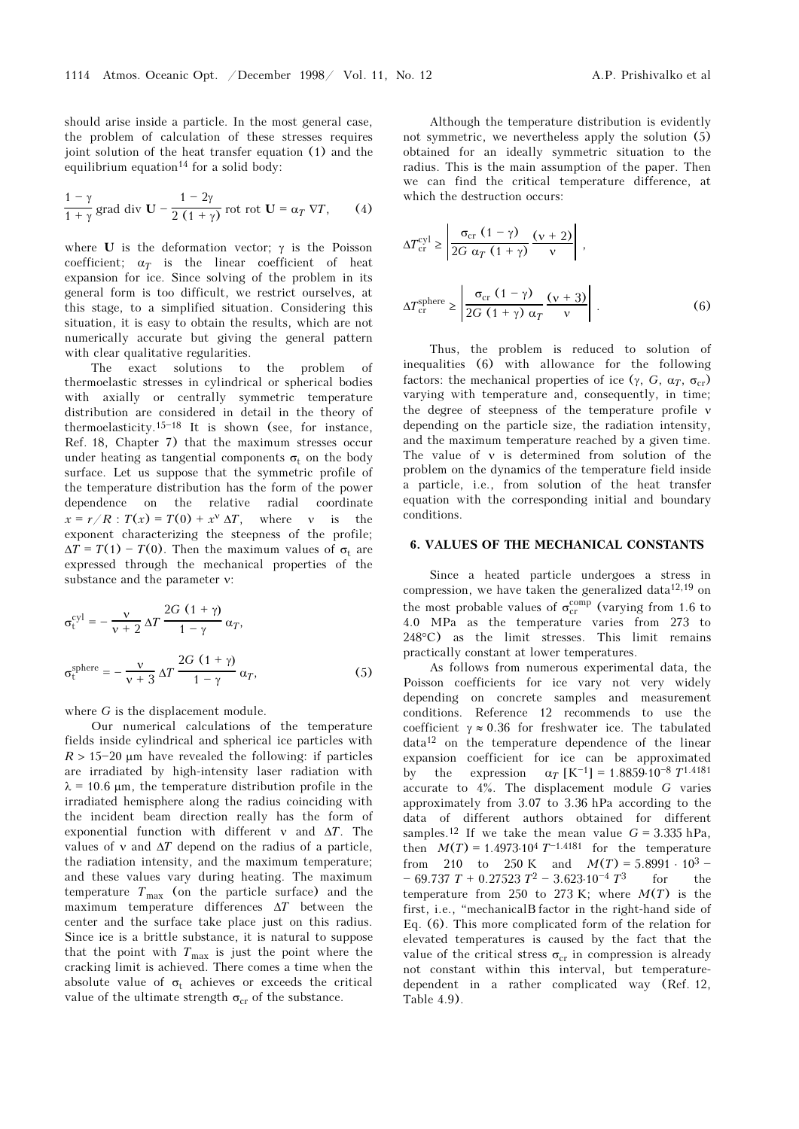should arise inside a particle. In the most general case, the problem of calculation of these stresses requires joint solution of the heat transfer equation (1) and the equilibrium equation<sup>14</sup> for a solid body:

$$
\frac{1-\gamma}{1+\gamma} \text{ grad div } \mathbf{U} - \frac{1-2\gamma}{2(1+\gamma)} \text{ rot rot } \mathbf{U} = \alpha_T \nabla T, \qquad (4)
$$

where **U** is the deformation vector;  $\gamma$  is the Poisson coefficient;  $\alpha_T$  is the linear coefficient of heat expansion for ice. Since solving of the problem in its general form is too difficult, we restrict ourselves, at this stage, to a simplified situation. Considering this situation, it is easy to obtain the results, which are not numerically accurate but giving the general pattern with clear qualitative regularities.

The exact solutions to the problem of thermoelastic stresses in cylindrical or spherical bodies with axially or centrally symmetric temperature distribution are considered in detail in the theory of thermoelasticity.<sup>15-18</sup> It is shown (see, for instance, Ref. 18, Chapter 7) that the maximum stresses occur under heating as tangential components  $\sigma_t$  on the body surface. Let us suppose that the symmetric profile of the temperature distribution has the form of the power dependence on the relative radial coordinate  $x = r/R$ :  $T(x) = T(0) + x^v \Delta T$ , where v is the exponent characterizing the steepness of the profile;  $\Delta T = T(1) - T(0)$ . Then the maximum values of  $\sigma_t$  are expressed through the mechanical properties of the substance and the parameter ν:

$$
\sigma_{t}^{cyl} = -\frac{v}{v+2} \Delta T \frac{2G (1+\gamma)}{1-\gamma} \alpha_{T},
$$
  

$$
\sigma_{t}^{sphere} = -\frac{v}{v+3} \Delta T \frac{2G (1+\gamma)}{1-\gamma} \alpha_{T},
$$
 (5)

where G is the displacement module.

Our numerical calculations of the temperature fields inside cylindrical and spherical ice particles with  $R > 15-20$  μm have revealed the following: if particles are irradiated by high-intensity laser radiation with  $\lambda$  = 10.6 μm, the temperature distribution profile in the irradiated hemisphere along the radius coinciding with the incident beam direction really has the form of exponential function with different  $\nu$  and  $\Delta T$ . The values of v and  $\Delta T$  depend on the radius of a particle, the radiation intensity, and the maximum temperature; and these values vary during heating. The maximum temperature  $T_{\text{max}}$  (on the particle surface) and the maximum temperature differences  $\Delta T$  between the center and the surface take place just on this radius. Since ice is a brittle substance, it is natural to suppose that the point with  $T_{\text{max}}$  is just the point where the cracking limit is achieved. There comes a time when the absolute value of  $\sigma_t$  achieves or exceeds the critical value of the ultimate strength  $\sigma_{cr}$  of the substance.

Although the temperature distribution is evidently not symmetric, we nevertheless apply the solution (5) obtained for an ideally symmetric situation to the radius. This is the main assumption of the paper. Then we can find the critical temperature difference, at which the destruction occurs:

$$
\Delta T_{\rm cr}^{\rm cyl} \ge \left| \frac{\sigma_{\rm cr} (1 - \gamma)}{2G \alpha_T (1 + \gamma)} \frac{(v + 2)}{v} \right|,
$$
  

$$
\Delta T_{\rm cr}^{\rm sphere} \ge \left| \frac{\sigma_{\rm cr} (1 - \gamma)}{2G (1 + \gamma) \alpha_T} \frac{(v + 3)}{v} \right|.
$$
 (6)

Thus, the problem is reduced to solution of inequalities (6) with allowance for the following factors: the mechanical properties of ice (γ, G,  $\alpha_T$ ,  $\sigma_{cr}$ ) varying with temperature and, consequently, in time; the degree of steepness of the temperature profile ν depending on the particle size, the radiation intensity, and the maximum temperature reached by a given time. The value of ν is determined from solution of the problem on the dynamics of the temperature field inside a particle, i.e., from solution of the heat transfer equation with the corresponding initial and boundary conditions.

#### 6. VALUES OF THE MECHANICAL CONSTANTS

Since a heated particle undergoes a stress in compression, we have taken the generalized data<sup>12,19</sup> on the most probable values of  $\sigma_{cr}^{comp}$  (varying from 1.6 to 4.0 MPa as the temperature varies from 273 to 248°C) as the limit stresses. This limit remains practically constant at lower temperatures.

As follows from numerous experimental data, the Poisson coefficients for ice vary not very widely depending on concrete samples and measurement conditions. Reference 12 recommends to use the coefficient  $\gamma \approx 0.36$  for freshwater ice. The tabulated data12 on the temperature dependence of the linear expansion coefficient for ice can be approximated by the expression  $\alpha_T$  [K<sup>-1</sup>] = 1.8859⋅10<sup>-8</sup> T<sup>1.4181</sup> accurate to 4%. The displacement module G varies approximately from 3.07 to 3.36 hPa according to the data of different authors obtained for different samples.<sup>12</sup> If we take the mean value  $G = 3.335$  hPa, then  $M(T) = 1.4973 \cdot 10^4 T^{-1.4181}$  for the temperature from 210 to 250 K and  $M(T) = 5.8991 \cdot 10^3$  - $-69.737 T + 0.27523 T^2 - 3.623.10^{-4} T^3$  for the temperature from 250 to 273 K; where  $M(T)$  is the first, i.e., "mechanicalB factor in the right-hand side of Eq. (6). This more complicated form of the relation for elevated temperatures is caused by the fact that the value of the critical stress  $\sigma_{cr}$  in compression is already not constant within this interval, but temperaturedependent in a rather complicated way (Ref. 12, Table 4.9).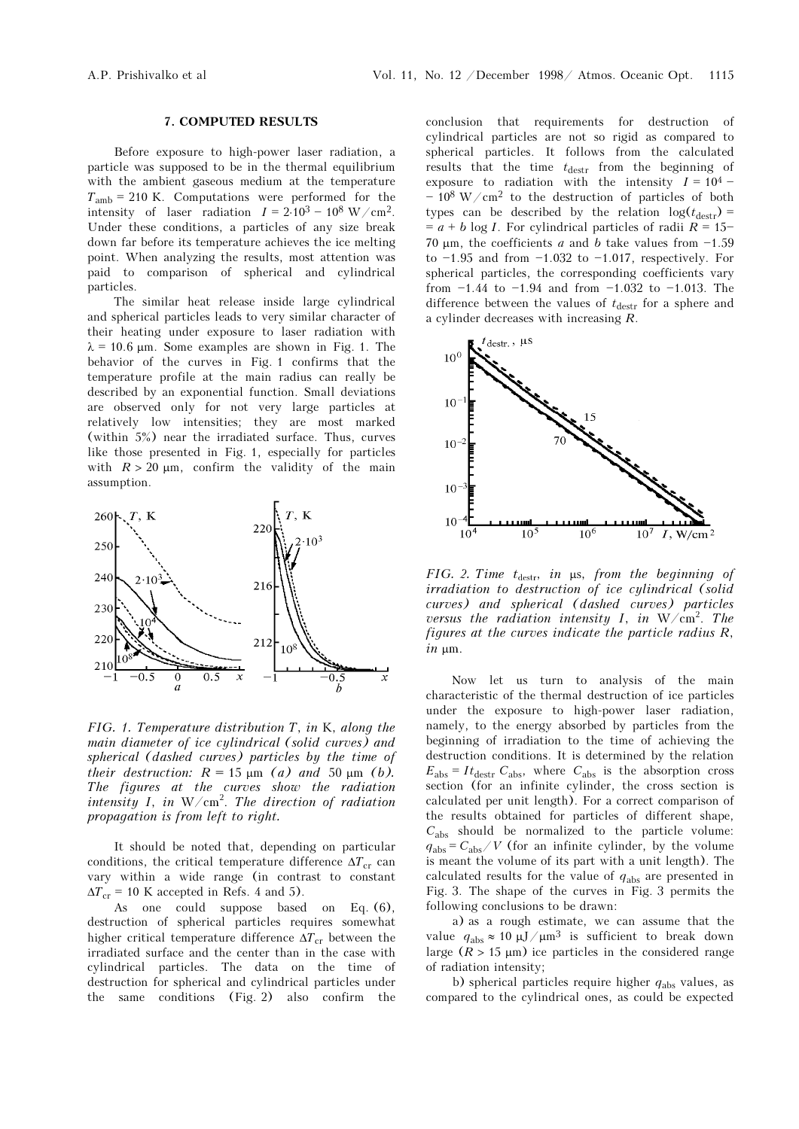#### 7. COMPUTED RESULTS

Before exposure to high-power laser radiation, a particle was supposed to be in the thermal equilibrium with the ambient gaseous medium at the temperature  $T<sub>amb</sub> = 210$  K. Computations were performed for the intensity of laser radiation  $I = 2.10^3 - 10^8$  W/cm<sup>2</sup>. Under these conditions, a particles of any size break down far before its temperature achieves the ice melting point. When analyzing the results, most attention was paid to comparison of spherical and cylindrical particles.

The similar heat release inside large cylindrical and spherical particles leads to very similar character of their heating under exposure to laser radiation with  $\lambda = 10.6$  μm. Some examples are shown in Fig. 1. The behavior of the curves in Fig. 1 confirms that the temperature profile at the main radius can really be described by an exponential function. Small deviations are observed only for not very large particles at relatively low intensities; they are most marked (within 5%) near the irradiated surface. Thus, curves like those presented in Fig. 1, especially for particles with  $R > 20 \mu m$ , confirm the validity of the main assumption.



FIG. 1. Temperature distribution T, in K, along the main diameter of ice cylindrical (solid curves) and spherical (dashed curves) particles by the time of their destruction:  $R = 15 \mu m$  (a) and 50  $\mu m$  (b). The figures at the curves show the radiation intensity I, in  $W/cm^2$ . The direction of radiation propagation is from left to right.

It should be noted that, depending on particular conditions, the critical temperature difference  $\Delta T_{cr}$  can vary within a wide range (in contrast to constant  $\Delta T_{cr}$  = 10 K accepted in Refs. 4 and 5).

As one could suppose based on Eq. (6), destruction of spherical particles requires somewhat higher critical temperature difference  $\Delta T_{cr}$  between the irradiated surface and the center than in the case with cylindrical particles. The data on the time of destruction for spherical and cylindrical particles under the same conditions (Fig. 2) also confirm the conclusion that requirements for destruction of cylindrical particles are not so rigid as compared to spherical particles. It follows from the calculated results that the time  $t_{\text{destr}}$  from the beginning of exposure to radiation with the intensity  $I = 10^4$  - $-10^8$  W/cm<sup>2</sup> to the destruction of particles of both types can be described by the relation  $log(t_{destr})$  =  $= a + b \log I$ . For cylindrical particles of radii  $R = 15$ 70 μm, the coefficients a and b take values from  $-1.59$ to  $-1.95$  and from  $-1.032$  to  $-1.017$ , respectively. For spherical particles, the corresponding coefficients vary from  $-1.44$  to  $-1.94$  and from  $-1.032$  to  $-1.013$ . The difference between the values of  $t_{\text{destr}}$  for a sphere and a cylinder decreases with increasing R.



FIG. 2. Time  $t_{\text{destr}}$ , in μs, from the beginning of irradiation to destruction of ice cylindrical (solid curves) and spherical (dashed curves) particles versus the radiation intensity I, in  $W/cm^2$ . The figures at the curves indicate the particle radius R, in μm.

Now let us turn to analysis of the main characteristic of the thermal destruction of ice particles under the exposure to high-power laser radiation, namely, to the energy absorbed by particles from the beginning of irradiation to the time of achieving the destruction conditions. It is determined by the relation  $E_{\text{abs}} = It_{\text{destr}} C_{\text{abs}}$ , where  $C_{\text{abs}}$  is the absorption cross section (for an infinite cylinder, the cross section is calculated per unit length). For a correct comparison of the results obtained for particles of different shape,  $C_{\rm abs}$  should be normalized to the particle volume:  $q_{\text{abs}} = C_{\text{abs}} / V$  (for an infinite cylinder, by the volume is meant the volume of its part with a unit length). The calculated results for the value of  $q_{\text{abs}}$  are presented in Fig. 3. The shape of the curves in Fig. 3 permits the following conclusions to be drawn:

a) as a rough estimate, we can assume that the value  $q_{\text{abs}} \approx 10 \ \mu\text{J}/\mu\text{m}^3$  is sufficient to break down large  $(R > 15 \mu m)$  ice particles in the considered range of radiation intensity;

b) spherical particles require higher  $q_{\text{abs}}$  values, as compared to the cylindrical ones, as could be expected